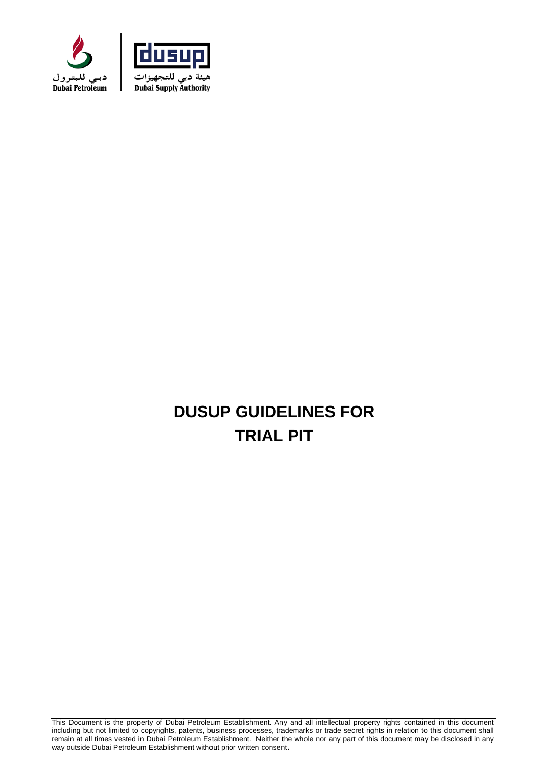



# **DUSUP GUIDELINES FOR TRIAL PIT**

This Document is the property of Dubai Petroleum Establishment. Any and all intellectual property rights contained in this document including but not limited to copyrights, patents, business processes, trademarks or trade secret rights in relation to this document shall remain at all times vested in Dubai Petroleum Establishment. Neither the whole nor any part of this document may be disclosed in any way outside Dubai Petroleum Establishment without prior written consent.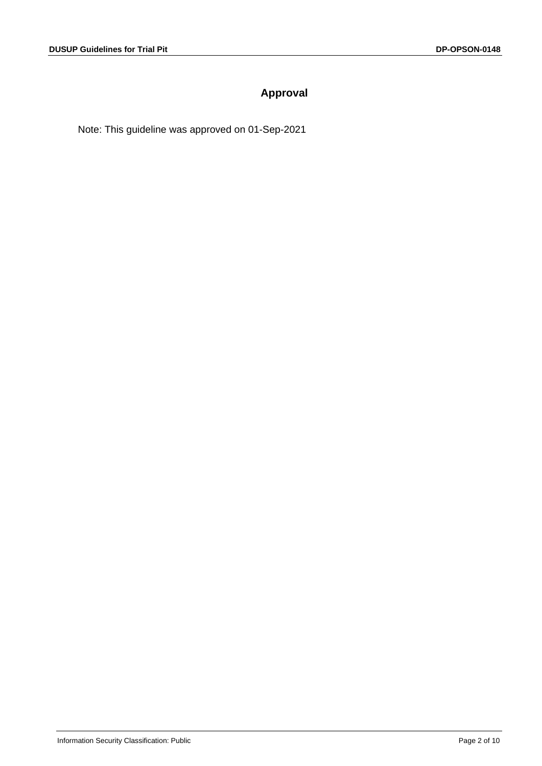# **Approval**

Note: This guideline was approved on 01-Sep-2021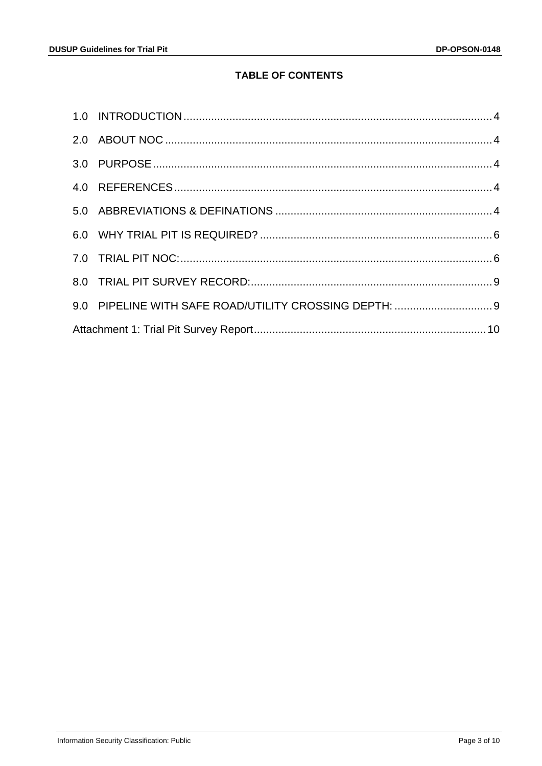# **TABLE OF CONTENTS**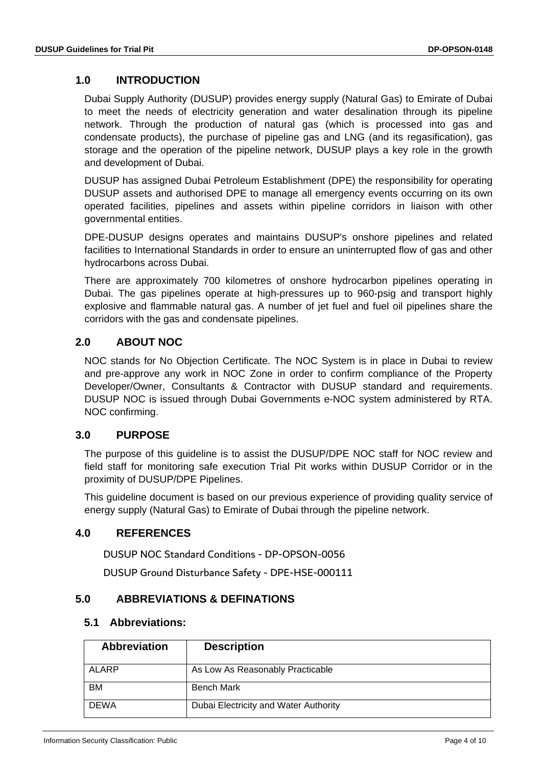# <span id="page-3-0"></span>**1.0 INTRODUCTION**

Dubai Supply Authority (DUSUP) provides energy supply (Natural Gas) to Emirate of Dubai to meet the needs of electricity generation and water desalination through its pipeline network. Through the production of natural gas (which is processed into gas and condensate products), the purchase of pipeline gas and LNG (and its regasification), gas storage and the operation of the pipeline network, DUSUP plays a key role in the growth and development of Dubai.

DUSUP has assigned Dubai Petroleum Establishment (DPE) the responsibility for operating DUSUP assets and authorised DPE to manage all emergency events occurring on its own operated facilities, pipelines and assets within pipeline corridors in liaison with other governmental entities.

DPE-DUSUP designs operates and maintains DUSUP's onshore pipelines and related facilities to International Standards in order to ensure an uninterrupted flow of gas and other hydrocarbons across Dubai.

There are approximately 700 kilometres of onshore hydrocarbon pipelines operating in Dubai. The gas pipelines operate at high-pressures up to 960-psig and transport highly explosive and flammable natural gas. A number of jet fuel and fuel oil pipelines share the corridors with the gas and condensate pipelines.

# <span id="page-3-1"></span>**2.0 ABOUT NOC**

NOC stands for No Objection Certificate. The NOC System is in place in Dubai to review and pre-approve any work in NOC Zone in order to confirm compliance of the Property Developer/Owner, Consultants & Contractor with DUSUP standard and requirements. DUSUP NOC is issued through Dubai Governments e-NOC system administered by RTA. NOC confirming.

# <span id="page-3-2"></span>**3.0 PURPOSE**

The purpose of this guideline is to assist the DUSUP/DPE NOC staff for NOC review and field staff for monitoring safe execution Trial Pit works within DUSUP Corridor or in the proximity of DUSUP/DPE Pipelines.

This guideline document is based on our previous experience of providing quality service of energy supply (Natural Gas) to Emirate of Dubai through the pipeline network.

# <span id="page-3-3"></span>**4.0 REFERENCES**

DUSUP NOC Standard Conditions - DP-OPSON-0056

DUSUP Ground Disturbance Safety - DPE-HSE-000111

# <span id="page-3-4"></span>**5.0 ABBREVIATIONS & DEFINATIONS**

#### **5.1 Abbreviations:**

| <b>Abbreviation</b> | <b>Description</b>                    |
|---------------------|---------------------------------------|
| ALARP               | As Low As Reasonably Practicable      |
| <b>BM</b>           | <b>Bench Mark</b>                     |
| <b>DEWA</b>         | Dubai Electricity and Water Authority |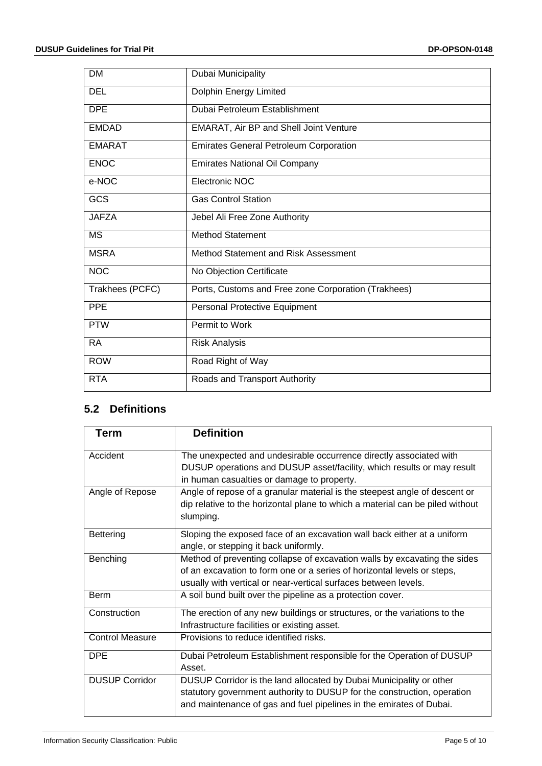| <b>DM</b>       | Dubai Municipality                                  |  |  |  |  |
|-----------------|-----------------------------------------------------|--|--|--|--|
| <b>DEL</b>      | <b>Dolphin Energy Limited</b>                       |  |  |  |  |
| <b>DPE</b>      | Dubai Petroleum Establishment                       |  |  |  |  |
| <b>EMDAD</b>    | EMARAT, Air BP and Shell Joint Venture              |  |  |  |  |
| <b>EMARAT</b>   | <b>Emirates General Petroleum Corporation</b>       |  |  |  |  |
| <b>ENOC</b>     | <b>Emirates National Oil Company</b>                |  |  |  |  |
| e-NOC           | Electronic NOC                                      |  |  |  |  |
| GCS             | <b>Gas Control Station</b>                          |  |  |  |  |
| <b>JAFZA</b>    | Jebel Ali Free Zone Authority                       |  |  |  |  |
| <b>MS</b>       | <b>Method Statement</b>                             |  |  |  |  |
| <b>MSRA</b>     | Method Statement and Risk Assessment                |  |  |  |  |
| <b>NOC</b>      | No Objection Certificate                            |  |  |  |  |
| Trakhees (PCFC) | Ports, Customs and Free zone Corporation (Trakhees) |  |  |  |  |
| <b>PPE</b>      | Personal Protective Equipment                       |  |  |  |  |
| <b>PTW</b>      | Permit to Work                                      |  |  |  |  |
| <b>RA</b>       | <b>Risk Analysis</b>                                |  |  |  |  |
| <b>ROW</b>      | Road Right of Way                                   |  |  |  |  |
| <b>RTA</b>      | Roads and Transport Authority                       |  |  |  |  |

# **5.2 Definitions**

| <b>Term</b>            | <b>Definition</b>                                                             |  |  |  |  |
|------------------------|-------------------------------------------------------------------------------|--|--|--|--|
| Accident               | The unexpected and undesirable occurrence directly associated with            |  |  |  |  |
|                        | DUSUP operations and DUSUP asset/facility, which results or may result        |  |  |  |  |
|                        | in human casualties or damage to property.                                    |  |  |  |  |
| Angle of Repose        | Angle of repose of a granular material is the steepest angle of descent or    |  |  |  |  |
|                        | dip relative to the horizontal plane to which a material can be piled without |  |  |  |  |
|                        | slumping.                                                                     |  |  |  |  |
| Bettering              | Sloping the exposed face of an excavation wall back either at a uniform       |  |  |  |  |
|                        | angle, or stepping it back uniformly.                                         |  |  |  |  |
| Benching               | Method of preventing collapse of excavation walls by excavating the sides     |  |  |  |  |
|                        | of an excavation to form one or a series of horizontal levels or steps,       |  |  |  |  |
|                        | usually with vertical or near-vertical surfaces between levels.               |  |  |  |  |
| <b>Berm</b>            | A soil bund built over the pipeline as a protection cover.                    |  |  |  |  |
| Construction           | The erection of any new buildings or structures, or the variations to the     |  |  |  |  |
|                        | Infrastructure facilities or existing asset.                                  |  |  |  |  |
| <b>Control Measure</b> | Provisions to reduce identified risks.                                        |  |  |  |  |
| <b>DPE</b>             | Dubai Petroleum Establishment responsible for the Operation of DUSUP          |  |  |  |  |
|                        | Asset.                                                                        |  |  |  |  |
| <b>DUSUP Corridor</b>  | DUSUP Corridor is the land allocated by Dubai Municipality or other           |  |  |  |  |
|                        | statutory government authority to DUSUP for the construction, operation       |  |  |  |  |
|                        | and maintenance of gas and fuel pipelines in the emirates of Dubai.           |  |  |  |  |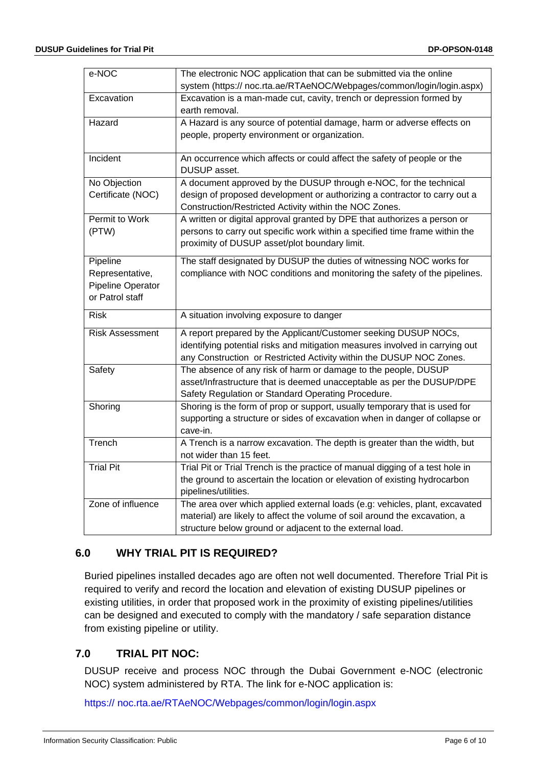| e-NOC                  | The electronic NOC application that can be submitted via the online                    |  |  |  |  |  |
|------------------------|----------------------------------------------------------------------------------------|--|--|--|--|--|
|                        | system (https:// noc.rta.ae/RTAeNOC/Webpages/common/login/login.aspx)                  |  |  |  |  |  |
| Excavation             | Excavation is a man-made cut, cavity, trench or depression formed by<br>earth removal. |  |  |  |  |  |
| Hazard                 | A Hazard is any source of potential damage, harm or adverse effects on                 |  |  |  |  |  |
|                        | people, property environment or organization.                                          |  |  |  |  |  |
|                        |                                                                                        |  |  |  |  |  |
| Incident               | An occurrence which affects or could affect the safety of people or the                |  |  |  |  |  |
|                        | DUSUP asset.                                                                           |  |  |  |  |  |
| No Objection           | A document approved by the DUSUP through e-NOC, for the technical                      |  |  |  |  |  |
| Certificate (NOC)      | design of proposed development or authorizing a contractor to carry out a              |  |  |  |  |  |
|                        | Construction/Restricted Activity within the NOC Zones.                                 |  |  |  |  |  |
| Permit to Work         | A written or digital approval granted by DPE that authorizes a person or               |  |  |  |  |  |
| (PTW)                  | persons to carry out specific work within a specified time frame within the            |  |  |  |  |  |
|                        | proximity of DUSUP asset/plot boundary limit.                                          |  |  |  |  |  |
| Pipeline               | The staff designated by DUSUP the duties of witnessing NOC works for                   |  |  |  |  |  |
| Representative,        | compliance with NOC conditions and monitoring the safety of the pipelines.             |  |  |  |  |  |
| Pipeline Operator      |                                                                                        |  |  |  |  |  |
| or Patrol staff        |                                                                                        |  |  |  |  |  |
| <b>Risk</b>            | A situation involving exposure to danger                                               |  |  |  |  |  |
| <b>Risk Assessment</b> | A report prepared by the Applicant/Customer seeking DUSUP NOCs,                        |  |  |  |  |  |
|                        | identifying potential risks and mitigation measures involved in carrying out           |  |  |  |  |  |
|                        | any Construction or Restricted Activity within the DUSUP NOC Zones.                    |  |  |  |  |  |
| Safety                 | The absence of any risk of harm or damage to the people, DUSUP                         |  |  |  |  |  |
|                        | asset/Infrastructure that is deemed unacceptable as per the DUSUP/DPE                  |  |  |  |  |  |
|                        | Safety Regulation or Standard Operating Procedure.                                     |  |  |  |  |  |
| Shoring                | Shoring is the form of prop or support, usually temporary that is used for             |  |  |  |  |  |
|                        | supporting a structure or sides of excavation when in danger of collapse or            |  |  |  |  |  |
|                        | cave-in.                                                                               |  |  |  |  |  |
| Trench                 | A Trench is a narrow excavation. The depth is greater than the width, but              |  |  |  |  |  |
|                        | not wider than 15 feet.                                                                |  |  |  |  |  |
| <b>Trial Pit</b>       | Trial Pit or Trial Trench is the practice of manual digging of a test hole in          |  |  |  |  |  |
|                        | the ground to ascertain the location or elevation of existing hydrocarbon              |  |  |  |  |  |
|                        | pipelines/utilities.                                                                   |  |  |  |  |  |
| Zone of influence      | The area over which applied external loads (e.g: vehicles, plant, excavated            |  |  |  |  |  |
|                        | material) are likely to affect the volume of soil around the excavation, a             |  |  |  |  |  |
|                        | structure below ground or adjacent to the external load.                               |  |  |  |  |  |

# <span id="page-5-0"></span>**6.0 WHY TRIAL PIT IS REQUIRED?**

Buried pipelines installed decades ago are often not well documented. Therefore Trial Pit is required to verify and record the location and elevation of existing DUSUP pipelines or existing utilities, in order that proposed work in the proximity of existing pipelines/utilities can be designed and executed to comply with the mandatory / safe separation distance from existing pipeline or utility.

# <span id="page-5-1"></span>**7.0 TRIAL PIT NOC:**

DUSUP receive and process NOC through the Dubai Government e-NOC (electronic NOC) system administered by RTA. The link for e-NOC application is:

https:// noc.rta.ae/RTAeNOC/Webpages/common/login/login.aspx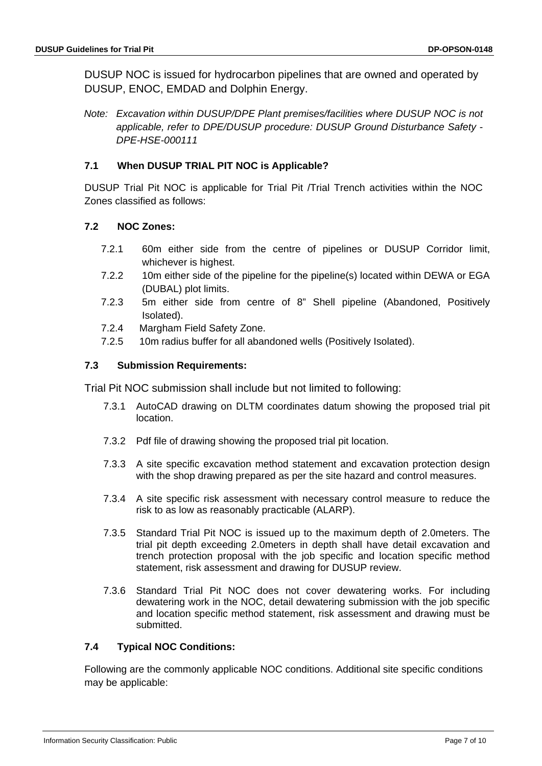DUSUP NOC is issued for hydrocarbon pipelines that are owned and operated by DUSUP, ENOC, EMDAD and Dolphin Energy.

*Note: Excavation within DUSUP/DPE Plant premises/facilities where DUSUP NOC is not applicable, refer to DPE/DUSUP procedure: DUSUP Ground Disturbance Safety - DPE-HSE-000111*

#### **7.1 When DUSUP TRIAL PIT NOC is Applicable?**

DUSUP Trial Pit NOC is applicable for Trial Pit /Trial Trench activities within the NOC Zones classified as follows:

#### **7.2 NOC Zones:**

- 7.2.1 60m either side from the centre of pipelines or DUSUP Corridor limit, whichever is highest.
- 7.2.2 10m either side of the pipeline for the pipeline(s) located within DEWA or EGA (DUBAL) plot limits.
- 7.2.3 5m either side from centre of 8" Shell pipeline (Abandoned, Positively Isolated).
- 7.2.4 Margham Field Safety Zone.
- 7.2.5 10m radius buffer for all abandoned wells (Positively Isolated).

#### **7.3 Submission Requirements:**

Trial Pit NOC submission shall include but not limited to following:

- 7.3.1 AutoCAD drawing on DLTM coordinates datum showing the proposed trial pit location.
- 7.3.2 Pdf file of drawing showing the proposed trial pit location.
- 7.3.3 A site specific excavation method statement and excavation protection design with the shop drawing prepared as per the site hazard and control measures.
- 7.3.4 A site specific risk assessment with necessary control measure to reduce the risk to as low as reasonably practicable (ALARP).
- 7.3.5 Standard Trial Pit NOC is issued up to the maximum depth of 2.0meters. The trial pit depth exceeding 2.0meters in depth shall have detail excavation and trench protection proposal with the job specific and location specific method statement, risk assessment and drawing for DUSUP review.
- 7.3.6 Standard Trial Pit NOC does not cover dewatering works. For including dewatering work in the NOC, detail dewatering submission with the job specific and location specific method statement, risk assessment and drawing must be submitted.

#### **7.4 Typical NOC Conditions:**

Following are the commonly applicable NOC conditions. Additional site specific conditions may be applicable: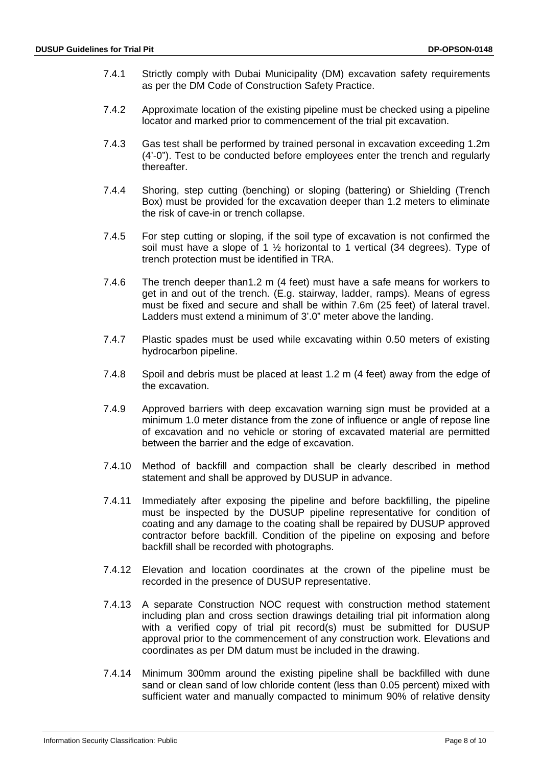- 7.4.1 Strictly comply with Dubai Municipality (DM) excavation safety requirements as per the DM Code of Construction Safety Practice.
- 7.4.2 Approximate location of the existing pipeline must be checked using a pipeline locator and marked prior to commencement of the trial pit excavation.
- 7.4.3 Gas test shall be performed by trained personal in excavation exceeding 1.2m (4'-0"). Test to be conducted before employees enter the trench and regularly thereafter.
- 7.4.4 Shoring, step cutting (benching) or sloping (battering) or Shielding (Trench Box) must be provided for the excavation deeper than 1.2 meters to eliminate the risk of cave-in or trench collapse.
- 7.4.5 For step cutting or sloping, if the soil type of excavation is not confirmed the soil must have a slope of 1 ½ horizontal to 1 vertical (34 degrees). Type of trench protection must be identified in TRA.
- 7.4.6 The trench deeper than1.2 m (4 feet) must have a safe means for workers to get in and out of the trench. (E.g. stairway, ladder, ramps). Means of egress must be fixed and secure and shall be within 7.6m (25 feet) of lateral travel. Ladders must extend a minimum of 3'.0" meter above the landing.
- 7.4.7 Plastic spades must be used while excavating within 0.50 meters of existing hydrocarbon pipeline.
- 7.4.8 Spoil and debris must be placed at least 1.2 m (4 feet) away from the edge of the excavation.
- 7.4.9 Approved barriers with deep excavation warning sign must be provided at a minimum 1.0 meter distance from the zone of influence or angle of repose line of excavation and no vehicle or storing of excavated material are permitted between the barrier and the edge of excavation.
- 7.4.10 Method of backfill and compaction shall be clearly described in method statement and shall be approved by DUSUP in advance.
- 7.4.11 Immediately after exposing the pipeline and before backfilling, the pipeline must be inspected by the DUSUP pipeline representative for condition of coating and any damage to the coating shall be repaired by DUSUP approved contractor before backfill. Condition of the pipeline on exposing and before backfill shall be recorded with photographs.
- 7.4.12 Elevation and location coordinates at the crown of the pipeline must be recorded in the presence of DUSUP representative.
- 7.4.13 A separate Construction NOC request with construction method statement including plan and cross section drawings detailing trial pit information along with a verified copy of trial pit record(s) must be submitted for DUSUP approval prior to the commencement of any construction work. Elevations and coordinates as per DM datum must be included in the drawing.
- 7.4.14 Minimum 300mm around the existing pipeline shall be backfilled with dune sand or clean sand of low chloride content (less than 0.05 percent) mixed with sufficient water and manually compacted to minimum 90% of relative density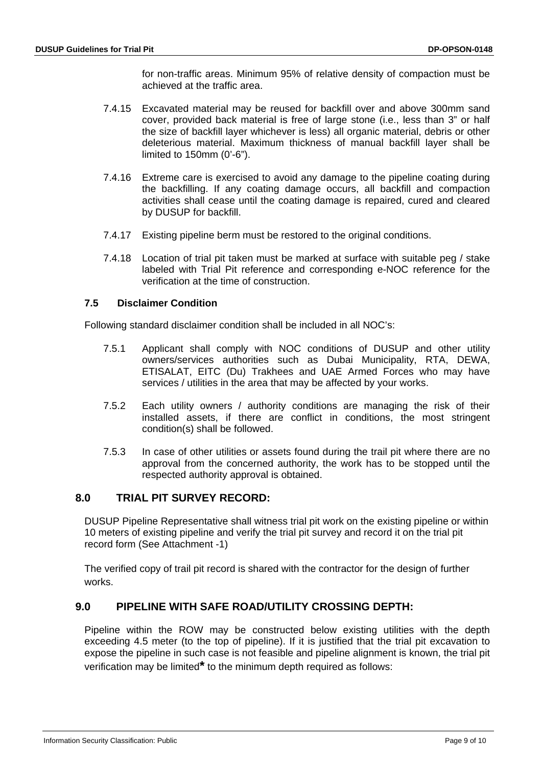for non-traffic areas. Minimum 95% of relative density of compaction must be achieved at the traffic area.

- 7.4.15 Excavated material may be reused for backfill over and above 300mm sand cover, provided back material is free of large stone (i.e., less than 3" or half the size of backfill layer whichever is less) all organic material, debris or other deleterious material. Maximum thickness of manual backfill layer shall be limited to 150mm (0'-6").
- 7.4.16 Extreme care is exercised to avoid any damage to the pipeline coating during the backfilling. If any coating damage occurs, all backfill and compaction activities shall cease until the coating damage is repaired, cured and cleared by DUSUP for backfill.
- 7.4.17 Existing pipeline berm must be restored to the original conditions.
- 7.4.18 Location of trial pit taken must be marked at surface with suitable peg / stake labeled with Trial Pit reference and corresponding e-NOC reference for the verification at the time of construction.

#### **7.5 Disclaimer Condition**

Following standard disclaimer condition shall be included in all NOC's:

- 7.5.1 Applicant shall comply with NOC conditions of DUSUP and other utility owners/services authorities such as Dubai Municipality, RTA, DEWA, ETISALAT, EITC (Du) Trakhees and UAE Armed Forces who may have services / utilities in the area that may be affected by your works.
- 7.5.2 Each utility owners / authority conditions are managing the risk of their installed assets, if there are conflict in conditions, the most stringent condition(s) shall be followed.
- 7.5.3 In case of other utilities or assets found during the trail pit where there are no approval from the concerned authority, the work has to be stopped until the respected authority approval is obtained.

#### <span id="page-8-0"></span>**8.0 TRIAL PIT SURVEY RECORD:**

DUSUP Pipeline Representative shall witness trial pit work on the existing pipeline or within 10 meters of existing pipeline and verify the trial pit survey and record it on the trial pit record form (See Attachment -1)

The verified copy of trail pit record is shared with the contractor for the design of further works.

#### <span id="page-8-1"></span>**9.0 PIPELINE WITH SAFE ROAD/UTILITY CROSSING DEPTH:**

Pipeline within the ROW may be constructed below existing utilities with the depth exceeding 4.5 meter (to the top of pipeline). If it is justified that the trial pit excavation to expose the pipeline in such case is not feasible and pipeline alignment is known, the trial pit verification may be limited**\*** to the minimum depth required as follows: